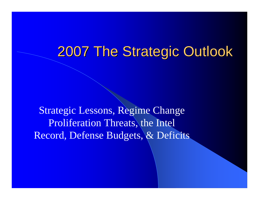# 2007 The Strategic Outlook

Strategic Lessons, Regime Change Proliferation Threats, the Intel Record, Defense Budgets, & Deficits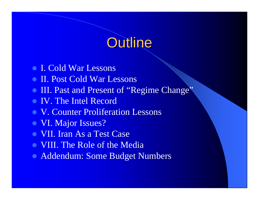# Outline

- I. Cold War Lessons
- **II. Post Cold War Lessons**
- III. Past and Present of "Regime Change"
- IV. The Intel Record
- V. Counter Proliferation Lessons
- VI. Major Issues?
- z VII. Iran As a Test Case
- VIII. The Role of the Media
- Addendum: Some Budget Numbers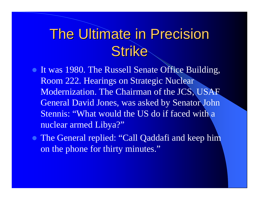# **The Ultimate in Precision Strike**

- It was 1980. The Russell Senate Office Building, Room 222. Hearings on Strategic Nuclear Modernization. The Chairman of the JCS, USAF General David Jones, was asked by Senator John Stennis: "What would the US do if faced with a nuclear armed Libya?"
- The General replied: "Call Qaddafi and keep him on the phone for thirty minutes."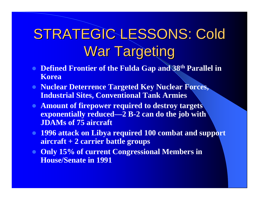# STRATEGIC LESSONS: Cold War Targeting

- z **Defined Frontier of the Fulda Gap and 38th Parallel in Korea**
- **Nuclear Deterrence Targeted Key Nuclear Forces, Industrial Sites, Conventional Tank Armies**
- **Example 2 Amount of firepower required to destroy targets exponentially reduced—2 B-2 can do the job with JDAMs of 75 aircraft**
- **1996 attack on Libya required 100 combat and support aircraft + 2 carrier battle groups**
- **Only 15% of current Congressional Members in House/Senate in 1991**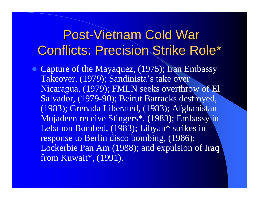## Post-Vietnam Cold War **Conflicts: Precision Strike Role\***

• Capture of the Mayaquez, (1975); Iran Embassy Takeover, (1979); Sandinista's take over Nicaragua, (1979); FMLN seeks overthrow of El Salvador, (1979-90); Beirut Barracks destroyed, (1983); Grenada Liberated, (1983); Afghanistan Mujadeen receive Stingers\*, (1983); Embassy in Lebanon Bombed, (1983); Libyan\* strikes in response to Berlin disco bombing, (1986); Lockerbie Pan Am (1988); and expulsion of Iraq from Kuwait\*, (1991).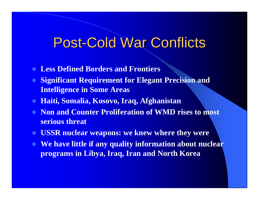# **Post-Cold War Conflicts**

- $\bullet$ **Less Defined Borders and Frontiers**
- **Significant Requirement for Elegant Precision and Intelligence in Some Areas**
- $\bullet$ **Haiti, Somalia, Kosovo, Iraq, Afghanistan**
- **Non and Counter Proliferation of WMD rises to most serious threat**
- **USSR nuclear weapons: we knew where they were**
- **We have little if any quality information about nuclear programs in Libya, Iraq, Iran and North Korea**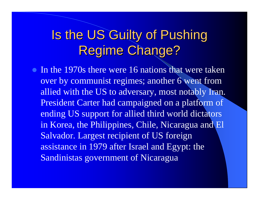# Is the US Guilty of Pushing Regime Change?

 $\bullet$  In the 1970s there were 16 nations that were taken over by communist regimes; another 6 went from allied with the US to adversary, most notably Iran. President Carter had campaigned on a platform of ending US support for allied third world dictators in Korea, the Philippines, Chile, Nicaragua and El Salvador. Largest recipient of US foreign assistance in 1979 after Israel and Egypt: the Sandinistas government of Nicaragua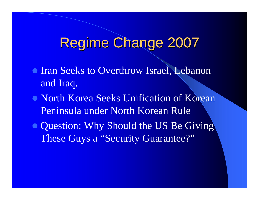# **Regime Change 2007**

- **Iran Seeks to Overthrow Israel, Lebanon** and Iraq.
- North Korea Seeks Unification of Korean Peninsula under North Korean Rule
- Question: Why Should the US Be Giving These Guys a "Security Guarantee?"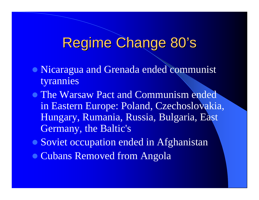#### Regime Change 80' s

- Nicaragua and Grenada ended communist tyrannies
- The Warsaw Pact and Communism ended in Eastern Europe: Poland, Czechoslovakia, Hungary, Rumania, Russia, Bulgaria, East Germany, the Baltic's
- Soviet occupation ended in Afghanistan
- Cubans Removed from Angola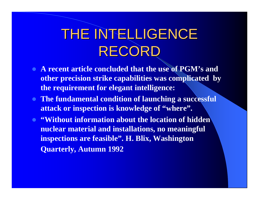# THE INTELLIGENCE RECORD

- z **A recent article concluded that the use of PGM's and other precision strike capabilities was complicated by the requirement for elegant intelligence:**
- **The fundamental condition of launching a successful attack or inspection is knowledge of "where".**
- z **"Without information about the location of hidden nuclear material and installations, no meaningful inspections are feasible". H. Blix, Washington Quarterly, Autumn 1992**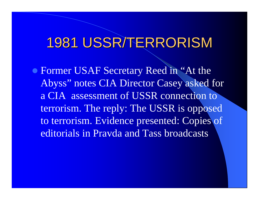# 1981 USSR/TERRORISM

• Former USAF Secretary Reed in "At the Abyss" notes CIA Director Casey asked for a CIA assessment of USSR connection to terrorism. The reply: The USSR is opposed to terrorism. Evidence presented: Copies of editorials in Pravda and Tass broadcasts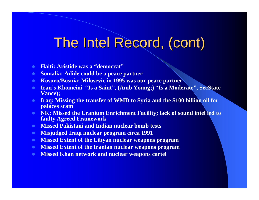# The Intel Record, (cont)

- z **Haiti: Aristide was a "democrat"**
- $\bullet$ **Somalia: Adide could be a peace partner**
- **Example 3 Kosovo/Bosnia: Milosevic in 1995 was our peace partner—**
- $\bullet$  **Iran's Khomeini "Is a Saint", (Amb Young;) "Is a Moderate", SecState Vance);**
- $\bullet$  **Iraq: Missing the transfer of WMD to Syria and the \$100 billion oil for palaces scam**
- **NK: Missed the Uranium Enrichment Facility; lack of sound intel led to faulty Agreed Framework**
- $\bullet$ **Missed Pakistani and Indian nuclear bomb tests**
- $\bullet$ **Misjudged Iraqi nuclear program circa 1991**
- **Missed Extent of the Libyan nuclear weapons program**
- **Missed Extent of the Iranian nuclear weapons program**
- **Missed Khan network and nuclear weapons cartel**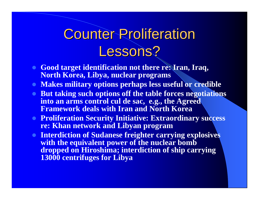# **Counter Proliferation** Lessons?

- **Good target identification not there re: Iran, Iraq, North Korea, Libya, nuclear programs**
- **Makes military options perhaps less useful or credible**
- **But taking such options off the table forces negotiations into an arms control cul de sac, e.g., the Agreed Framework deals with Iran and North Korea**
- **Proliferation Security Initiative: Extraordinary success re: Khan network and Libyan program**
- **Interdiction of Sudanese freighter carrying explosives with the equivalent power of the nuclear bomb dropped on Hiroshima; interdiction of ship carrying 13000 centrifuges for Libya**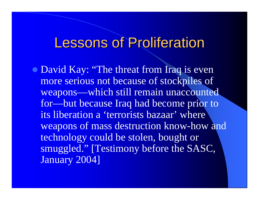# **Lessons of Proliferation**

• David Kay: "The threat from Iraq is even more serious not because of stockpiles of weapons—which still remain unaccounted for—but because Iraq had become prior to its liberation a 'terrorists bazaar' where weapons of mass destruction know-how and technology could be stolen, bought or smuggled." [Testimony before the SASC, January 2004]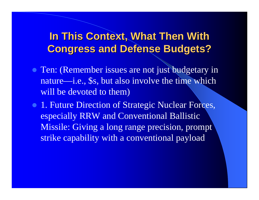#### **In This Context, What Then With Congress and Defense Budgets? Congress and Defense Budgets?**

- Ten: (Remember issues are not just budgetary in nature—i.e., \$s, but also involve the time which will be devoted to them)
- **1. Future Direction of Strategic Nuclear Forces,** especially RRW and Conventional Ballistic Missile: Giving a long range precision, prompt strike capability with a conventional payload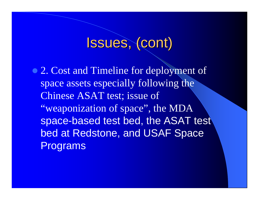# Issues, (cont)

• 2. Cost and Timeline for deployment of space assets especially following the Chinese ASAT test; issue of "weaponization of space", the MDA space-based test bed, the ASAT test bed at Redstone, and USAF Space Programs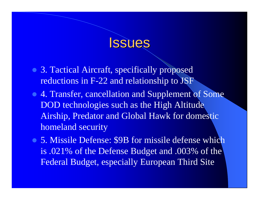## **Issues**

- 3. Tactical Aircraft, specifically proposed reductions in F-22 and relationship to JSF
- 4. Transfer, cancellation and Supplement of Some DOD technologies such as the High Altitude Airship, Predator and Global Hawk for domestic homeland security
- 5. Missile Defense: \$9B for missile defense which is .021% of the Defense Budget and .003% of the Federal Budget, especially European Third Site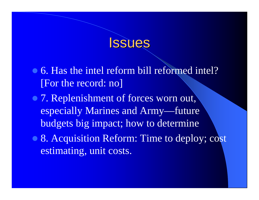## **Issues**

- 6. Has the intel reform bill reformed intel? [For the record: no]
- 7. Replenishment of forces worn out, especially Marines and Army—future budgets big impact; how to determine
- 8. Acquisition Reform: Time to deploy; cost estimating, unit costs.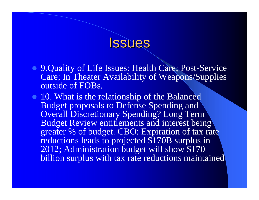## **Issues**

- 9.Quality of Life Issues: Health Care; Post-Service Care; In Theater Availability of Weapons/Supplies outside of FOBs.
- 10. What is the relationship of the Balanced Budget proposals to Defense Spending and Overall Discretionary Spending? Long Term Budget Review entitlements and interest being greater % of budget. CBO: Expiration of tax rate reductions leads to projected \$170B surplus in 2012; Administration budget will show \$170 billion surplus with tax rate reductions maintained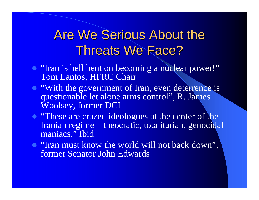## Are We Serious About the Threats We Face?

- "Iran is hell bent on becoming a nuclear power!" Tom Lantos, HFRC Chair
- "With the government of Iran, even deterrence is questionable let alone arms control", R. James Woolsey, former DCI
- "These are crazed ideologues at the center of the Iranian regime—theocratic, totalitarian, genocidal maniacs." Ibid
- "Iran must know the world will not back down", former Senator John Edwards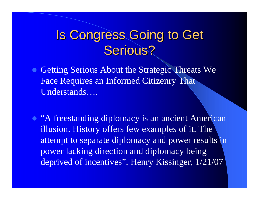## Is Congress Going to Get Serious?

- Getting Serious About the Strategic Threats We Face Requires an Informed Citizenry That Understands….
- "A freestanding diplomacy is an ancient American illusion. History offers few examples of it. The attempt to separate diplomacy and power results in power lacking direction and diplomacy being deprived of incentives". Henry Kissinger, 1/21/07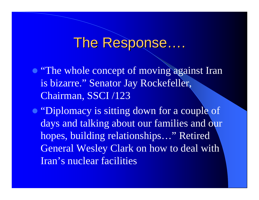#### The Response … .

- "The whole concept of moving against Iran is bizarre." Senator Jay Rockefeller, Chairman, SSCI /123
- "Diplomacy is sitting down for a couple of days and talking about our families and our hopes, building relationships…" Retired General Wesley Clark on how to deal with Iran's nuclear facilities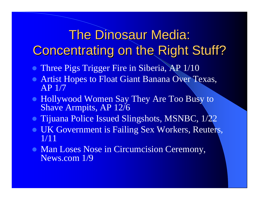# **The Dinosaur Media: Concentrating on the Right Stuff?**

- Three Pigs Trigger Fire in Siberia, AP 1/10
- **Artist Hopes to Float Giant Banana Over Texas,** AP 1/7
- Hollywood Women Say They Are Too Busy to Shave Armpits, AP 12/6
- Tijuana Police Issued Slingshots, MSNBC, 1/22
- **UK Government is Failing Sex Workers, Reuters,** 1/11
- Man Loses Nose in Circumcision Ceremony, News.com 1/9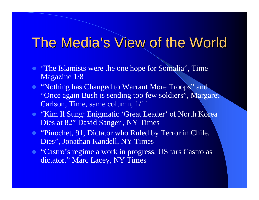# The Media's View of the World

- "The Islamists were the one hope for Somalia", Time Magazine 1/8
- "Nothing has Changed to Warrant More Troops" and "Once again Bush is sending too few soldiers", Margaret Carlson, Time, same column, 1/11
- "Kim Il Sung: Enigmatic 'Great Leader' of North Korea Dies at 82" David Sanger , NY Times
- "Pinochet, 91, Dictator who Ruled by Terror in Chile, Dies", Jonathan Kandell, NY Times
- "Castro's regime a work in progress, US tars Castro as dictator." Marc Lacey, NY Times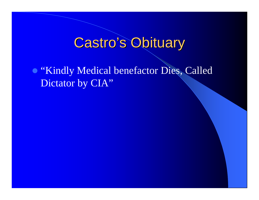# **Castro's Obituary**

**• "Kindly Medical benefactor Dies, Called** Dictator by CIA"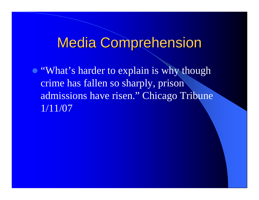# **Media Comprehension**

• "What's harder to explain is why though crime has fallen so sharply, prison admissions have risen." Chicago Tribune 1/11/07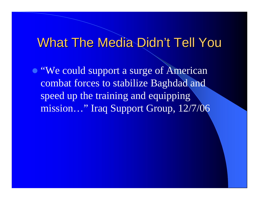#### What The Media Didn't Tell You

• "We could support a surge of American combat forces to stabilize Baghdad and speed up the training and equipping mission…" Iraq Support Group, 12/7/06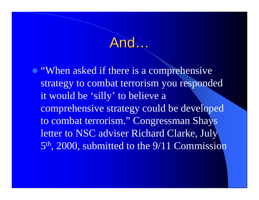## And…

• "When asked if there is a comprehensive strategy to combat terrorism you responded it would be 'silly' to believe a comprehensive strategy could be developed to combat terrorism." Congressman Shays letter to NSC adviser Richard Clarke, July 5th, 2000, submitted to the 9/11 Commission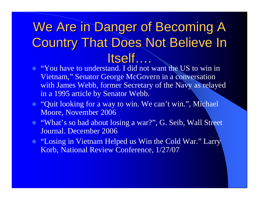# We Are in Danger of Becoming A **Country That Does Not Believe In** Itself ….

- "You have to understand. I did not want the US to win in Vietnam," Senator George McGovern in a conversation with James Webb, former Secretary of the Navy as relayed in a 1995 article by Senator Webb.
- "Quit looking for a way to win. We can't win.", Michael Moore, November 2006
- "What's so bad about losing a war?", G. Seib, Wall Street Journal. December 2006
- "Losing in Vietnam Helped us Win the Cold War." Larry Korb, National Review Conference, 1/27/07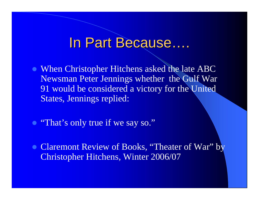#### In Part Because....

- When Christopher Hitchens asked the late ABC Newsman Peter Jennings whether the Gulf War 91 would be considered a victory for the United States, Jennings replied:
- "That's only true if we say so."
- Claremont Review of Books, "Theater of War" by Christopher Hitchens, Winter 2006/07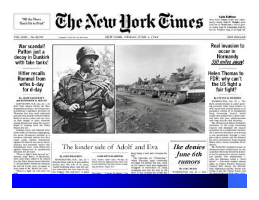"All the News That's Fit to Fried" The New York Times

**Late Edition** 

Now York: Teleg, winds and redder partly clouds, high 15. Boardin, syster culd, her 13. Receptions, a Record dayor. It's levels ringle for Transmitter, Study St. firm 22. Wouldn't make in on Finds 199.

#### VOL. CLINI ... ALL RE TEL

Transpit I HAVE By THE Boys

NEW YORK: FRIDAY JUNE 1, 1944

#### **ONE DOLLAR**

War scandal! Patton just a decoy in Dunkirk with fake tanks!

#### **Hitler** recalls **Rommel from** wifes b-day for d-day

#### By ARAN NACHURARY and low Principles at the Service MR.

GENT GEORGE, N.R., Sea, 31 -- Sn their first deluce before the fibre Rangebra primary, the Deniscratic prestigación contributo y localizar Thanday that they incld withmast alve monitor associate break Prevale in Book on started violant and law runs. as this magh at also consists. among Emmerment offers the party's fogas of scening hack the White Brocer-Jim Delt

tunking whirts and reputant after change sensitive of renewating or printing painting. the server Democrats business to a interfacer rack-cheat distance check dragmulti excite its and damageters. sacking the kind of grouths on puriod. nelligry and environm mount char Reported one forms lowed editorizingly against Democracy & problemial street payers liked 194 security.

"The 'r a light it has been at an" Senator Jobs Spers of Montacher more sum what unled it is intered that the Wilso Mayne troubl' plac tens-2- Interested Append Chapters Ingo Test packer he was the invite ware to repeat at thank, leaded of TRV. Buildi's can cure.

"That's a fight be sell why" for



#### The kinder side of Adolf and Eva

CLASS CREATIVE DR. AMORTING

#### May Jiminding "Write, countries of the

MADE BESTER, N.H., Jan. 21 -Fact results after three Western K. Roward Drug said for is just solation Charit stold for approved only initial comate an alternation. No back science modes theritary stad. Wie with at 10 pearls: ing possesse. Pluga dell' Justeb bucariony Dean, and she canand remainble? Her Larr Gree So Sec. bis tempore. One seat for's "a guest

best being a dad and a busine be-

The International Contributions." about Theratox right interesting acerapsi kd sullive ike lisk cookas the timer's mail and supportant annuagement on measurer house out unforcecompanies and bust his dask to the parties. It was recritement two of \$600 per-

#### Ike denies June 6th *TUMOIS* By CABL MCLIN

WHANPHOTON, Jun 22 - 13th-

Real invasion to occur in Normandy 350 miles away.

#### **Helen Thomas to** FDR: why can't the US fight a fair fight?

BUYER SENTE, WILDRAMS

**BASEMING'NEW** Jun. 20 - The Balli administrato è unite prosing ameinare filten Bragt Braders to the to teams, when it is not to be a expensivel warroom of the Bandan love bug Country Court, with would client produces by a domer does lost hand don stat, administrations and finest sitticials sold Thursday.

This officially seal, follows Packariti, Hawkeen at the trap Covenance Classich, had proposed the caused analyzes and an a very importance their energy the Automobile Boltonesie als technicias a tore government through a ramaften concrete spokers, and the delivered. har share in alterization for Temple Strading. TRITIN (ONT); ESONA Acoustica AS at **Harrison** 

10 Fachechi's present internet buyearchealistic collectives) by the presided develops to period a nonor and its posterial in Austral Roads can secure. The compensation of what see diploman called a "third. igning" - has loose tupper, among within his Christoph Muslimsin Genetically Sweetz: Bid's Akriva, the attivials rand. Eliphones call Mr. Advise and chilling for gost like Trining Women unto **STATISTICS** CONTINUES INC.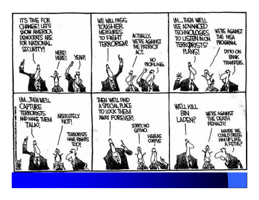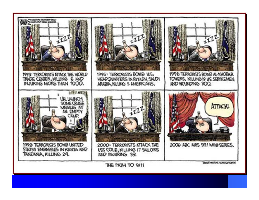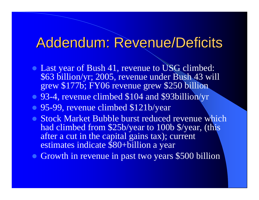# Addendum: Revenue/Deficits Addendum: Revenue/Deficits

- Last year of Bush 41, revenue to USG climbed: \$63 billion/yr; 2005, revenue under Bush 43 will grew \$177b; FY06 revenue grew \$250 billion
- 93-4, revenue climbed \$104 and \$93billion/yr
- 95-99, revenue climbed \$121b/year
- Stock Market Bubble burst reduced revenue which had climbed from \$25b/year to 100b \$/year, (this after a cut in the capital gains tax); current estimates indicate \$80+billion a year
- Growth in revenue in past two years \$500 billion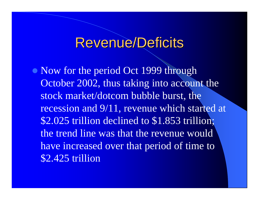## Revenue/Deficits

• Now for the period Oct 1999 through October 2002, thus taking into account the stock market/dotcom bubble burst, the recession and 9/11, revenue which started at \$2.025 trillion declined to \$1.853 trillion; the trend line was that the revenue would have increased over that period of time to \$2.425 trillion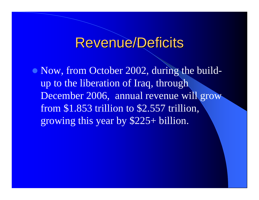## Revenue/Deficits

• Now, from October 2002, during the buildup to the liberation of Iraq, through December 2006, annual revenue will grow from \$1.853 trillion to \$2.557 trillion, growing this year by \$225+ billion.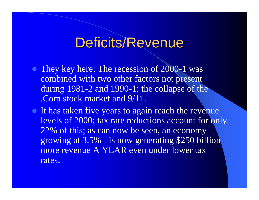# Deficits/Revenue

- They key here: The recession of 2000-1 was combined with two other factors not present during 1981-2 and 1990-1: the collapse of the .Com stock market and 9/11.
- It has taken five years to again reach the revenue levels of 2000; tax rate reductions account for only 22% of this; as can now be seen, an economy growing at 3.5%+ is now generating \$250 billion more revenue A YEAR even under lower tax rates.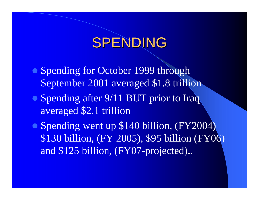# SPENDING

- Spending for October 1999 through September 2001 averaged \$1.8 trillion
- Spending after 9/11 BUT prior to Iraq averaged \$2.1 trillion
- Spending went up \$140 billion, (FY2004) \$130 billion, (FY 2005), \$95 billion (FY06) and \$125 billion, (FY07-projected)..